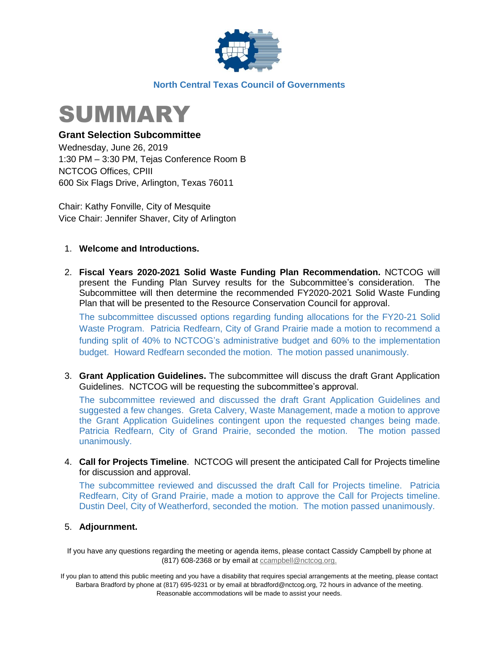

#### **North Central Texas Council of Governments**



#### **Grant Selection Subcommittee**

Wednesday, June 26, 2019 1:30 PM – 3:30 PM, Tejas Conference Room B NCTCOG Offices, CPIII 600 Six Flags Drive, Arlington, Texas 76011

Chair: Kathy Fonville, City of Mesquite Vice Chair: Jennifer Shaver, City of Arlington

#### 1. **Welcome and Introductions.**

2. **Fiscal Years 2020-2021 Solid Waste Funding Plan Recommendation.** NCTCOG will present the Funding Plan Survey results for the Subcommittee's consideration. The Subcommittee will then determine the recommended FY2020-2021 Solid Waste Funding Plan that will be presented to the Resource Conservation Council for approval.

The subcommittee discussed options regarding funding allocations for the FY20-21 Solid Waste Program. Patricia Redfearn, City of Grand Prairie made a motion to recommend a funding split of 40% to NCTCOG's administrative budget and 60% to the implementation budget. Howard Redfearn seconded the motion. The motion passed unanimously.

3. **Grant Application Guidelines.** The subcommittee will discuss the draft Grant Application Guidelines. NCTCOG will be requesting the subcommittee's approval.

The subcommittee reviewed and discussed the draft Grant Application Guidelines and suggested a few changes. Greta Calvery, Waste Management, made a motion to approve the Grant Application Guidelines contingent upon the requested changes being made. Patricia Redfearn, City of Grand Prairie, seconded the motion. The motion passed unanimously.

4. **Call for Projects Timeline**. NCTCOG will present the anticipated Call for Projects timeline for discussion and approval.

The subcommittee reviewed and discussed the draft Call for Projects timeline. Patricia Redfearn, City of Grand Prairie, made a motion to approve the Call for Projects timeline. Dustin Deel, City of Weatherford, seconded the motion. The motion passed unanimously.

#### 5. **Adjournment.**

If you have any questions regarding the meeting or agenda items, please contact Cassidy Campbell by phone at (817) 608-2368 or by email at compbell@nctcog.org.

If you plan to attend this public meeting and you have a disability that requires special arrangements at the meeting, please contact Barbara Bradford by phone at (817) 695-9231 or by email at bbradford@nctcog.org, 72 hours in advance of the meeting. Reasonable accommodations will be made to assist your needs.